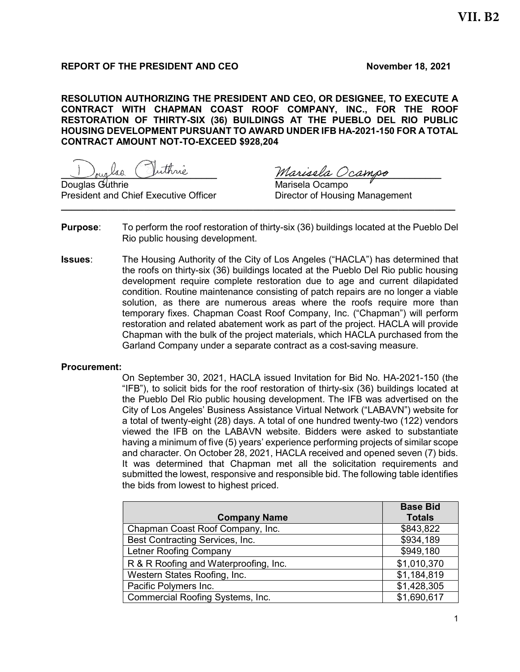# REPORT OF THE PRESIDENT AND CEO November 18, 2021

RESOLUTION AUTHORIZING THE PRESIDENT AND CEO, OR DESIGNEE, TO EXECUTE A CONTRACT WITH CHAPMAN COAST ROOF COMPANY, INC., FOR THE ROOF RESTORATION OF THIRTY-SIX (36) BUILDINGS AT THE PUEBLO DEL RIO PUBLIC HOUSING DEVELOPMENT PURSUANT TO AWARD UNDER IFB HA-2021-150 FOR A TOTAL CONTRACT AMOUNT NOT-TO-EXCEED \$928,204

<u>Nouglas</u> (Vuthne Marisela Ocampo

President and Chief Executive Officer **Director of Housing Management** \_\_\_\_\_\_\_\_\_\_\_\_\_\_\_\_\_\_\_\_\_\_\_\_\_\_\_\_\_\_\_\_\_\_\_\_\_\_\_\_\_\_\_\_\_\_\_\_\_\_\_\_\_\_\_\_\_\_\_\_\_\_\_\_\_\_\_\_\_\_\_\_\_\_\_\_

Marisela Ocampo

- **Purpose:** To perform the roof restoration of thirty-six (36) buildings located at the Pueblo Del Rio public housing development.
- Issues: The Housing Authority of the City of Los Angeles ("HACLA") has determined that the roofs on thirty-six (36) buildings located at the Pueblo Del Rio public housing development require complete restoration due to age and current dilapidated condition. Routine maintenance consisting of patch repairs are no longer a viable solution, as there are numerous areas where the roofs require more than temporary fixes. Chapman Coast Roof Company, Inc. ("Chapman") will perform restoration and related abatement work as part of the project. HACLA will provide Chapman with the bulk of the project materials, which HACLA purchased from the Garland Company under a separate contract as a cost-saving measure.

#### Procurement:

On September 30, 2021, HACLA issued Invitation for Bid No. HA-2021-150 (the "IFB"), to solicit bids for the roof restoration of thirty-six (36) buildings located at the Pueblo Del Rio public housing development. The IFB was advertised on the City of Los Angeles' Business Assistance Virtual Network ("LABAVN") website for a total of twenty-eight (28) days. A total of one hundred twenty-two (122) vendors viewed the IFB on the LABAVN website. Bidders were asked to substantiate having a minimum of five (5) years' experience performing projects of similar scope and character. On October 28, 2021, HACLA received and opened seven (7) bids. It was determined that Chapman met all the solicitation requirements and submitted the lowest, responsive and responsible bid. The following table identifies the bids from lowest to highest priced.

| <b>Company Name</b>                   | <b>Base Bid</b><br><b>Totals</b> |
|---------------------------------------|----------------------------------|
| Chapman Coast Roof Company, Inc.      | \$843,822                        |
| Best Contracting Services, Inc.       | \$934,189                        |
| Letner Roofing Company                | \$949,180                        |
| R & R Roofing and Waterproofing, Inc. | \$1,010,370                      |
| Western States Roofing, Inc.          | \$1,184,819                      |
| Pacific Polymers Inc.                 | \$1,428,305                      |
| Commercial Roofing Systems, Inc.      | \$1,690,617                      |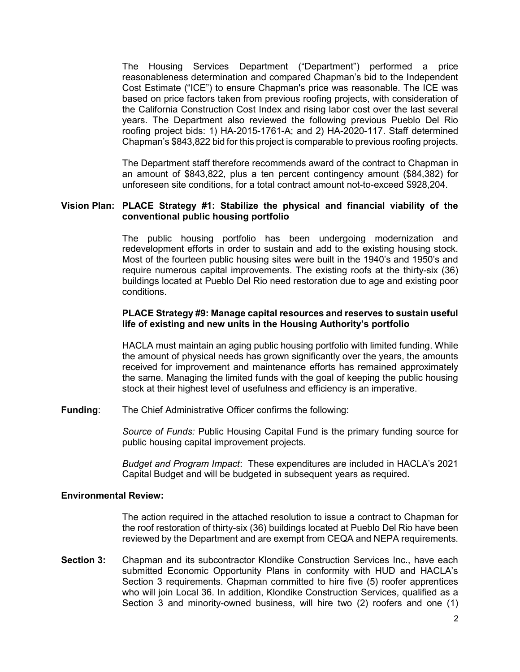The Housing Services Department ("Department") performed a price reasonableness determination and compared Chapman's bid to the Independent Cost Estimate ("ICE") to ensure Chapman's price was reasonable. The ICE was based on price factors taken from previous roofing projects, with consideration of the California Construction Cost Index and rising labor cost over the last several years. The Department also reviewed the following previous Pueblo Del Rio roofing project bids: 1) HA-2015-1761-A; and 2) HA-2020-117. Staff determined Chapman's \$843,822 bid for this project is comparable to previous roofing projects.

The Department staff therefore recommends award of the contract to Chapman in an amount of \$843,822, plus a ten percent contingency amount (\$84,382) for unforeseen site conditions, for a total contract amount not-to-exceed \$928,204.

#### Vision Plan: PLACE Strategy #1: Stabilize the physical and financial viability of the conventional public housing portfolio

The public housing portfolio has been undergoing modernization and redevelopment efforts in order to sustain and add to the existing housing stock. Most of the fourteen public housing sites were built in the 1940's and 1950's and require numerous capital improvements. The existing roofs at the thirty-six (36) buildings located at Pueblo Del Rio need restoration due to age and existing poor conditions.

#### PLACE Strategy #9: Manage capital resources and reserves to sustain useful life of existing and new units in the Housing Authority's portfolio

HACLA must maintain an aging public housing portfolio with limited funding. While the amount of physical needs has grown significantly over the years, the amounts received for improvement and maintenance efforts has remained approximately the same. Managing the limited funds with the goal of keeping the public housing stock at their highest level of usefulness and efficiency is an imperative.

Funding: The Chief Administrative Officer confirms the following:

Source of Funds: Public Housing Capital Fund is the primary funding source for public housing capital improvement projects.

Budget and Program Impact: These expenditures are included in HACLA's 2021 Capital Budget and will be budgeted in subsequent years as required.

#### Environmental Review:

The action required in the attached resolution to issue a contract to Chapman for the roof restoration of thirty-six (36) buildings located at Pueblo Del Rio have been reviewed by the Department and are exempt from CEQA and NEPA requirements.

Section 3: Chapman and its subcontractor Klondike Construction Services Inc., have each submitted Economic Opportunity Plans in conformity with HUD and HACLA's Section 3 requirements. Chapman committed to hire five (5) roofer apprentices who will join Local 36. In addition, Klondike Construction Services, qualified as a Section 3 and minority-owned business, will hire two (2) roofers and one (1)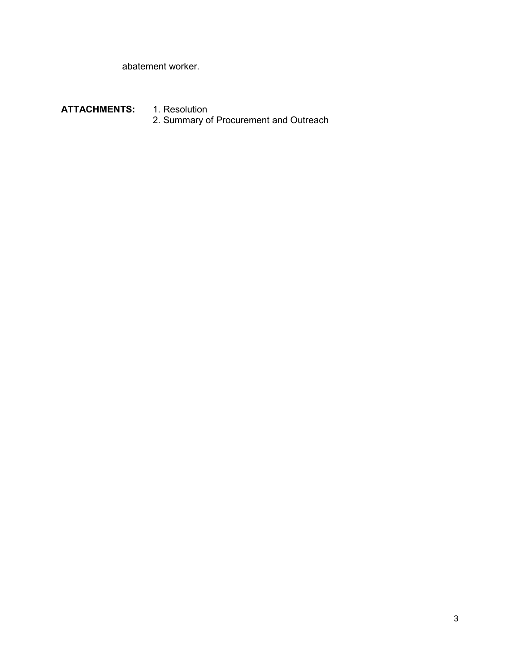abatement worker.

ATTACHMENTS: 1. Resolution 2. Summary of Procurement and Outreach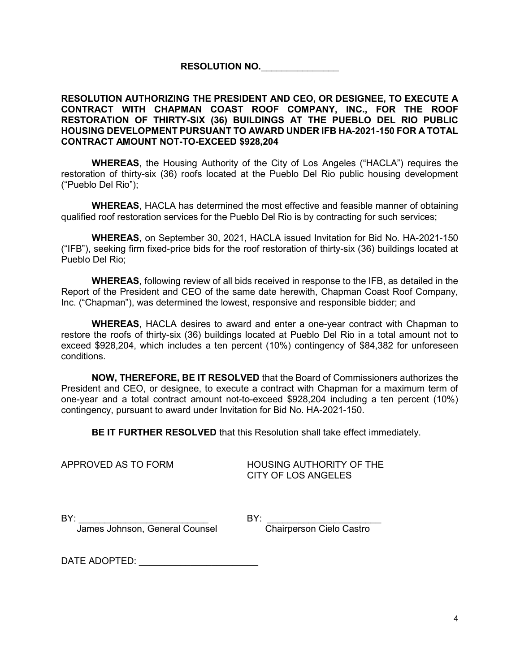RESOLUTION NO.

## RESOLUTION AUTHORIZING THE PRESIDENT AND CEO, OR DESIGNEE, TO EXECUTE A CONTRACT WITH CHAPMAN COAST ROOF COMPANY, INC., FOR THE ROOF RESTORATION OF THIRTY-SIX (36) BUILDINGS AT THE PUEBLO DEL RIO PUBLIC HOUSING DEVELOPMENT PURSUANT TO AWARD UNDER IFB HA-2021-150 FOR A TOTAL CONTRACT AMOUNT NOT-TO-EXCEED \$928,204

WHEREAS, the Housing Authority of the City of Los Angeles ("HACLA") requires the restoration of thirty-six (36) roofs located at the Pueblo Del Rio public housing development ("Pueblo Del Rio");

WHEREAS, HACLA has determined the most effective and feasible manner of obtaining qualified roof restoration services for the Pueblo Del Rio is by contracting for such services;

WHEREAS, on September 30, 2021, HACLA issued Invitation for Bid No. HA-2021-150 ("IFB"), seeking firm fixed-price bids for the roof restoration of thirty-six (36) buildings located at Pueblo Del Rio;

WHEREAS, following review of all bids received in response to the IFB, as detailed in the Report of the President and CEO of the same date herewith, Chapman Coast Roof Company, Inc. ("Chapman"), was determined the lowest, responsive and responsible bidder; and

WHEREAS, HACLA desires to award and enter a one-year contract with Chapman to restore the roofs of thirty-six (36) buildings located at Pueblo Del Rio in a total amount not to exceed \$928,204, which includes a ten percent (10%) contingency of \$84,382 for unforeseen conditions.

NOW, THEREFORE, BE IT RESOLVED that the Board of Commissioners authorizes the President and CEO, or designee, to execute a contract with Chapman for a maximum term of one-year and a total contract amount not-to-exceed \$928,204 including a ten percent (10%) contingency, pursuant to award under Invitation for Bid No. HA-2021-150.

**BE IT FURTHER RESOLVED** that this Resolution shall take effect immediately.

APPROVED AS TO FORM HOUSING AUTHORITY OF THE CITY OF LOS ANGELES

BY: \_\_\_\_\_\_\_\_\_\_\_\_\_\_\_\_\_\_\_\_\_\_\_\_\_ BY: \_\_\_\_\_\_\_\_\_\_\_\_\_\_\_\_\_\_\_\_\_\_

James Johnson, General Counsel Chairperson Cielo Castro

DATE ADOPTED:  $\blacksquare$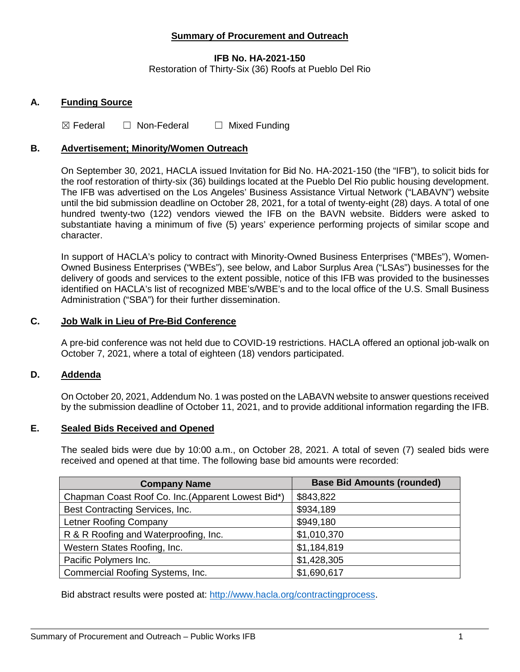# **Summary of Procurement and Outreach**

## **IFB No. HA-2021-150**

Restoration of Thirty-Six (36) Roofs at Pueblo Del Rio

## **A. Funding Source**

 $\boxtimes$  Federal  $\Box$  Non-Federal  $\Box$  Mixed Funding

## **B. Advertisement; Minority/Women Outreach**

On September 30, 2021, HACLA issued Invitation for Bid No. HA-2021-150 (the "IFB"), to solicit bids for the roof restoration of thirty-six (36) buildings located at the Pueblo Del Rio public housing development. The IFB was advertised on the Los Angeles' Business Assistance Virtual Network ("LABAVN") website until the bid submission deadline on October 28, 2021, for a total of twenty-eight (28) days. A total of one hundred twenty-two (122) vendors viewed the IFB on the BAVN website. Bidders were asked to substantiate having a minimum of five (5) years' experience performing projects of similar scope and character.

In support of HACLA's policy to contract with Minority-Owned Business Enterprises ("MBEs"), Women-Owned Business Enterprises ("WBEs"), see below, and Labor Surplus Area ("LSAs") businesses for the delivery of goods and services to the extent possible, notice of this IFB was provided to the businesses identified on HACLA's list of recognized MBE's/WBE's and to the local office of the U.S. Small Business Administration ("SBA") for their further dissemination.

## **C. Job Walk in Lieu of Pre-Bid Conference**

A pre-bid conference was not held due to COVID-19 restrictions. HACLA offered an optional job-walk on October 7, 2021, where a total of eighteen (18) vendors participated.

#### **D. Addenda**

On October 20, 2021, Addendum No. 1 was posted on the LABAVN website to answer questions received by the submission deadline of October 11, 2021, and to provide additional information regarding the IFB.

#### **E. Sealed Bids Received and Opened**

The sealed bids were due by 10:00 a.m., on October 28, 2021. A total of seven (7) sealed bids were received and opened at that time. The following base bid amounts were recorded:

| <b>Company Name</b>                                | <b>Base Bid Amounts (rounded)</b> |
|----------------------------------------------------|-----------------------------------|
| Chapman Coast Roof Co. Inc. (Apparent Lowest Bid*) | \$843,822                         |
| Best Contracting Services, Inc.                    | \$934,189                         |
| Letner Roofing Company                             | \$949,180                         |
| R & R Roofing and Waterproofing, Inc.              | \$1,010,370                       |
| Western States Roofing, Inc.                       | \$1,184,819                       |
| Pacific Polymers Inc.                              | \$1,428,305                       |
| Commercial Roofing Systems, Inc.                   | \$1,690,617                       |

Bid abstract results were posted at: [http://www.hacla.org/contractingprocess.](http://www.hacla.org/contractingprocess)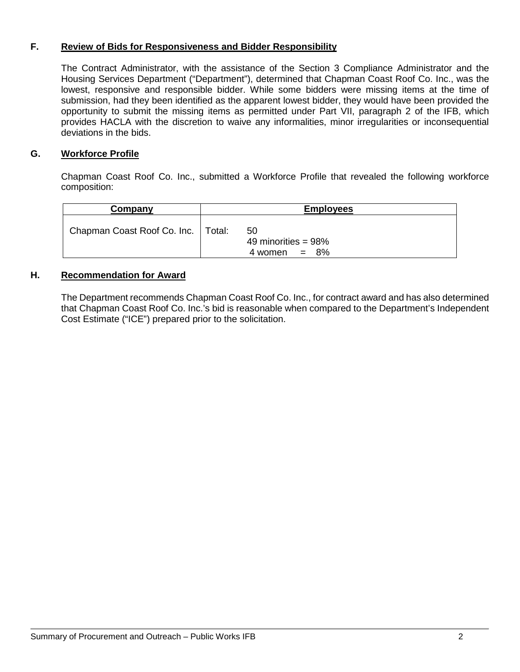# **F. Review of Bids for Responsiveness and Bidder Responsibility**

The Contract Administrator, with the assistance of the Section 3 Compliance Administrator and the Housing Services Department ("Department"), determined that Chapman Coast Roof Co. Inc., was the lowest, responsive and responsible bidder. While some bidders were missing items at the time of submission, had they been identified as the apparent lowest bidder, they would have been provided the opportunity to submit the missing items as permitted under Part VII, paragraph 2 of the IFB, which provides HACLA with the discretion to waive any informalities, minor irregularities or inconsequential deviations in the bids.

# **G. Workforce Profile**

Chapman Coast Roof Co. Inc., submitted a Workforce Profile that revealed the following workforce composition:

| Company                              | <b>Employees</b> |                                                   |
|--------------------------------------|------------------|---------------------------------------------------|
| Chapman Coast Roof Co. Inc.   Total: |                  | 50<br>49 minorities = $98\%$<br>$4$ women = $8\%$ |

## **H. Recommendation for Award**

The Department recommends Chapman Coast Roof Co. Inc., for contract award and has also determined that Chapman Coast Roof Co. Inc.'s bid is reasonable when compared to the Department's Independent Cost Estimate ("ICE") prepared prior to the solicitation.